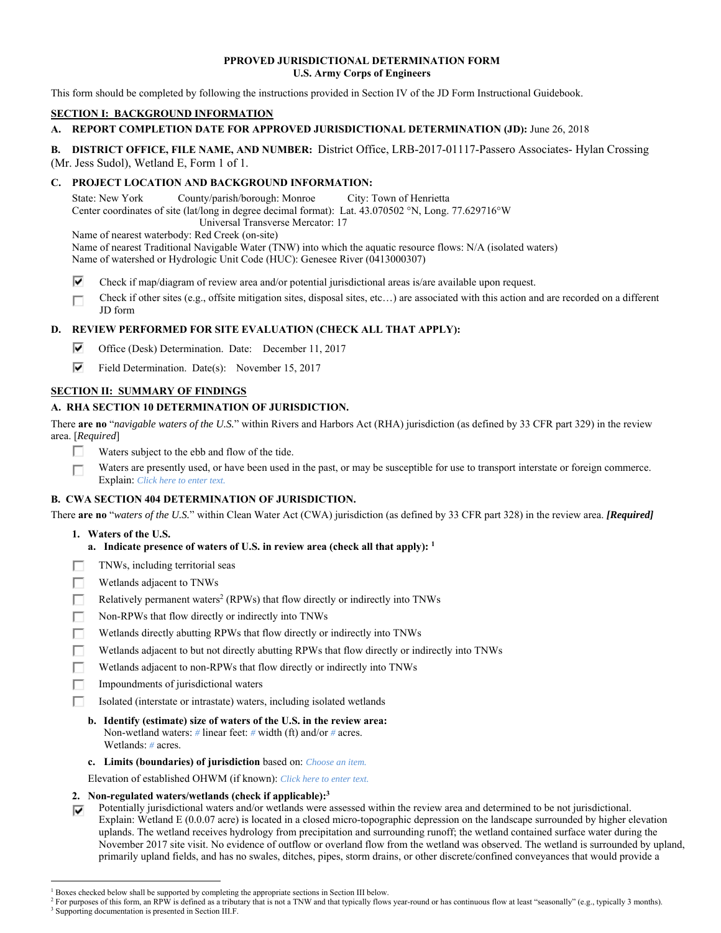### **PPROVED JURISDICTIONAL DETERMINATION FORM U.S. Army Corps of Engineers**

This form should be completed by following the instructions provided in Section IV of the JD Form Instructional Guidebook.

# **SECTION I: BACKGROUND INFORMATION**

# **A. REPORT COMPLETION DATE FOR APPROVED JURISDICTIONAL DETERMINATION (JD):** June 26, 2018

**B. DISTRICT OFFICE, FILE NAME, AND NUMBER:** District Office, LRB-2017-01117-Passero Associates- Hylan Crossing (Mr. Jess Sudol), Wetland E, Form 1 of 1.

# **C. PROJECT LOCATION AND BACKGROUND INFORMATION:**

State: New York County/parish/borough: Monroe City: Town of Henrietta Center coordinates of site (lat/long in degree decimal format): Lat. 43.070502 °N, Long. 77.629716°W Universal Transverse Mercator: 17

Name of nearest waterbody: Red Creek (on-site)

Name of nearest Traditional Navigable Water (TNW) into which the aquatic resource flows: N/A (isolated waters) Name of watershed or Hydrologic Unit Code (HUC): Genesee River (0413000307)

- ⊽ Check if map/diagram of review area and/or potential jurisdictional areas is/are available upon request.
- Check if other sites (e.g., offsite mitigation sites, disposal sites, etc…) are associated with this action and are recorded on a different г JD form

# **D. REVIEW PERFORMED FOR SITE EVALUATION (CHECK ALL THAT APPLY):**

- ⊽ Office (Desk) Determination. Date: December 11, 2017
- ⊽⊹ Field Determination. Date(s): November 15, 2017

# **SECTION II: SUMMARY OF FINDINGS**

# **A. RHA SECTION 10 DETERMINATION OF JURISDICTION.**

There **are no** "*navigable waters of the U.S.*" within Rivers and Harbors Act (RHA) jurisdiction (as defined by 33 CFR part 329) in the review area. [*Required*]

- Waters subject to the ebb and flow of the tide. Е
- Waters are presently used, or have been used in the past, or may be susceptible for use to transport interstate or foreign commerce. п Explain: *Click here to enter text.*

# **B. CWA SECTION 404 DETERMINATION OF JURISDICTION.**

There **are no** "*waters of the U.S.*" within Clean Water Act (CWA) jurisdiction (as defined by 33 CFR part 328) in the review area. *[Required]*

# **1. Waters of the U.S.**

- **a. Indicate presence of waters of U.S. in review area (check all that apply): 1**
- TNWs, including territorial seas
- П Wetlands adjacent to TNWs
- П Relatively permanent waters<sup>2</sup> (RPWs) that flow directly or indirectly into TNWs
- п Non-RPWs that flow directly or indirectly into TNWs
- п Wetlands directly abutting RPWs that flow directly or indirectly into TNWs
- Wetlands adjacent to but not directly abutting RPWs that flow directly or indirectly into TNWs п
- п Wetlands adjacent to non-RPWs that flow directly or indirectly into TNWs
- г Impoundments of jurisdictional waters
- П. Isolated (interstate or intrastate) waters, including isolated wetlands
	- **b. Identify (estimate) size of waters of the U.S. in the review area:** Non-wetland waters: *#* linear feet: *#* width (ft) and/or *#* acres. Wetlands: *#* acres.
	- **c. Limits (boundaries) of jurisdiction** based on: *Choose an item.*

Elevation of established OHWM (if known): *Click here to enter text.*

# **2. Non-regulated waters/wetlands (check if applicable):3**

Potentially jurisdictional waters and/or wetlands were assessed within the review area and determined to be not jurisdictional. ⊽. Explain: Wetland E (0.0.07 acre) is located in a closed micro-topographic depression on the landscape surrounded by higher elevation uplands. The wetland receives hydrology from precipitation and surrounding runoff; the wetland contained surface water during the November 2017 site visit. No evidence of outflow or overland flow from the wetland was observed. The wetland is surrounded by upland, primarily upland fields, and has no swales, ditches, pipes, storm drains, or other discrete/confined conveyances that would provide a

<sup>&</sup>lt;sup>1</sup> Boxes checked below shall be supported by completing the appropriate sections in Section III below.<br><sup>2</sup> For purposes of this form, an PPW is defined as a tributary that is not a TNW and that typically flows

For purposes of this form, an RPW is defined as a tributary that is not a TNW and that typically flows year-round or has continuous flow at least "seasonally" (e.g., typically 3 months). <sup>3</sup> Supporting documentation is presented in Section III.F.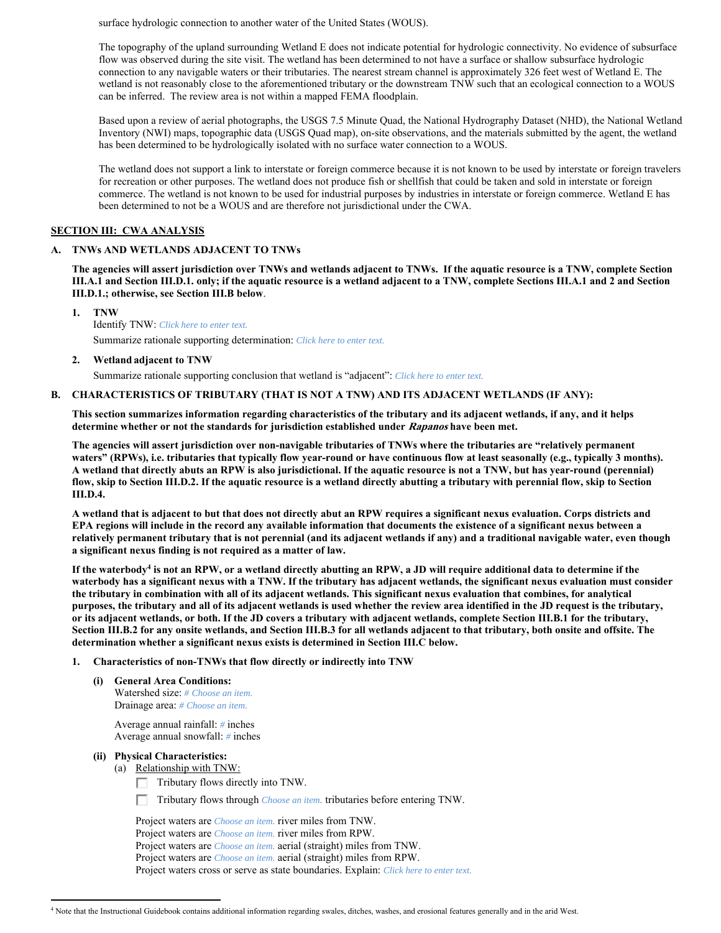surface hydrologic connection to another water of the United States (WOUS).

The topography of the upland surrounding Wetland E does not indicate potential for hydrologic connectivity. No evidence of subsurface flow was observed during the site visit. The wetland has been determined to not have a surface or shallow subsurface hydrologic connection to any navigable waters or their tributaries. The nearest stream channel is approximately 326 feet west of Wetland E. The wetland is not reasonably close to the aforementioned tributary or the downstream TNW such that an ecological connection to a WOUS can be inferred. The review area is not within a mapped FEMA floodplain.

Based upon a review of aerial photographs, the USGS 7.5 Minute Quad, the National Hydrography Dataset (NHD), the National Wetland Inventory (NWI) maps, topographic data (USGS Quad map), on-site observations, and the materials submitted by the agent, the wetland has been determined to be hydrologically isolated with no surface water connection to a WOUS.

The wetland does not support a link to interstate or foreign commerce because it is not known to be used by interstate or foreign travelers for recreation or other purposes. The wetland does not produce fish or shellfish that could be taken and sold in interstate or foreign commerce. The wetland is not known to be used for industrial purposes by industries in interstate or foreign commerce. Wetland E has been determined to not be a WOUS and are therefore not jurisdictional under the CWA.

#### **SECTION III: CWA ANALYSIS**

### **A. TNWs AND WETLANDS ADJACENT TO TNWs**

**The agencies will assert jurisdiction over TNWs and wetlands adjacent to TNWs. If the aquatic resource is a TNW, complete Section III.A.1 and Section III.D.1. only; if the aquatic resource is a wetland adjacent to a TNW, complete Sections III.A.1 and 2 and Section III.D.1.; otherwise, see Section III.B below**.

 **1. TNW** 

 Identify TNW: *Click here to enter text.* Summarize rationale supporting determination: *Click here to enter text.*

 **2. Wetland adjacent to TNW** 

Summarize rationale supporting conclusion that wetland is "adjacent": *Click here to enter text.*

### **B. CHARACTERISTICS OF TRIBUTARY (THAT IS NOT A TNW) AND ITS ADJACENT WETLANDS (IF ANY):**

**This section summarizes information regarding characteristics of the tributary and its adjacent wetlands, if any, and it helps determine whether or not the standards for jurisdiction established under Rapanos have been met.** 

**The agencies will assert jurisdiction over non-navigable tributaries of TNWs where the tributaries are "relatively permanent**  waters" (RPWs), i.e. tributaries that typically flow year-round or have continuous flow at least seasonally (e.g., typically 3 months). **A wetland that directly abuts an RPW is also jurisdictional. If the aquatic resource is not a TNW, but has year-round (perennial) flow, skip to Section III.D.2. If the aquatic resource is a wetland directly abutting a tributary with perennial flow, skip to Section III.D.4.** 

**A wetland that is adjacent to but that does not directly abut an RPW requires a significant nexus evaluation. Corps districts and EPA regions will include in the record any available information that documents the existence of a significant nexus between a relatively permanent tributary that is not perennial (and its adjacent wetlands if any) and a traditional navigable water, even though a significant nexus finding is not required as a matter of law.**

If the waterbody<sup>4</sup> is not an RPW, or a wetland directly abutting an RPW, a JD will require additional data to determine if the **waterbody has a significant nexus with a TNW. If the tributary has adjacent wetlands, the significant nexus evaluation must consider the tributary in combination with all of its adjacent wetlands. This significant nexus evaluation that combines, for analytical purposes, the tributary and all of its adjacent wetlands is used whether the review area identified in the JD request is the tributary, or its adjacent wetlands, or both. If the JD covers a tributary with adjacent wetlands, complete Section III.B.1 for the tributary, Section III.B.2 for any onsite wetlands, and Section III.B.3 for all wetlands adjacent to that tributary, both onsite and offsite. The determination whether a significant nexus exists is determined in Section III.C below.** 

#### **1. Characteristics of non-TNWs that flow directly or indirectly into TNW**

 **(i) General Area Conditions:**  Watershed size: *# Choose an item.* Drainage area: *# Choose an item.*

> Average annual rainfall: *#* inches Average annual snowfall: *#* inches

 **(ii) Physical Characteristics:** 

 $\overline{a}$ 

- (a) Relationship with TNW:
	- $\Box$  Tributary flows directly into TNW.
	- Tributary flows through *Choose an item.* tributaries before entering TNW.

 Project waters are *Choose an item.* river miles from TNW. Project waters are *Choose an item.* river miles from RPW. Project waters are *Choose an item.* aerial (straight) miles from TNW. Project waters are *Choose an item.* aerial (straight) miles from RPW. Project waters cross or serve as state boundaries. Explain: *Click here to enter text.*

<sup>4</sup> Note that the Instructional Guidebook contains additional information regarding swales, ditches, washes, and erosional features generally and in the arid West.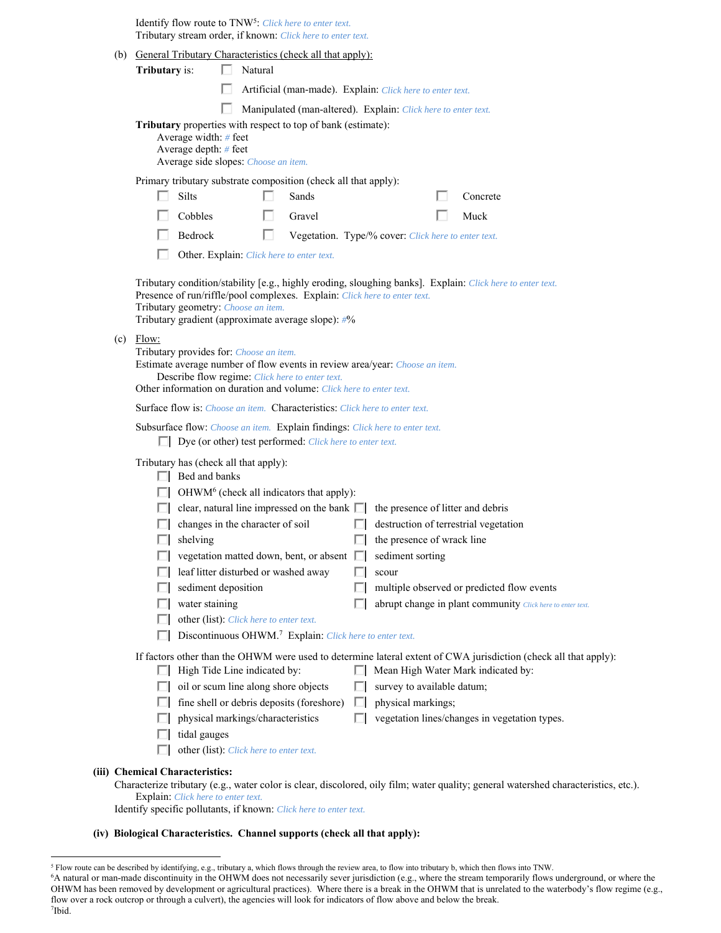Identify flow route to TNW5: *Click here to enter text.* Tributary stream order, if known: *Click here to enter text.*

| (b) General Tributary Characteristics (check all that apply):                                                                                                                                                                                                                                                                                                                                                                                                                                                                                                                                                                                                                                                                          |
|----------------------------------------------------------------------------------------------------------------------------------------------------------------------------------------------------------------------------------------------------------------------------------------------------------------------------------------------------------------------------------------------------------------------------------------------------------------------------------------------------------------------------------------------------------------------------------------------------------------------------------------------------------------------------------------------------------------------------------------|
| Tributary is:<br>Natural                                                                                                                                                                                                                                                                                                                                                                                                                                                                                                                                                                                                                                                                                                               |
| Artificial (man-made). Explain: Click here to enter text.                                                                                                                                                                                                                                                                                                                                                                                                                                                                                                                                                                                                                                                                              |
| Manipulated (man-altered). Explain: Click here to enter text.                                                                                                                                                                                                                                                                                                                                                                                                                                                                                                                                                                                                                                                                          |
| Tributary properties with respect to top of bank (estimate):<br>Average width: # feet<br>Average depth: # feet<br>Average side slopes: Choose an item.                                                                                                                                                                                                                                                                                                                                                                                                                                                                                                                                                                                 |
| Primary tributary substrate composition (check all that apply):                                                                                                                                                                                                                                                                                                                                                                                                                                                                                                                                                                                                                                                                        |
| Silts<br>Sands<br>Concrete                                                                                                                                                                                                                                                                                                                                                                                                                                                                                                                                                                                                                                                                                                             |
| Cobbles<br>Muck<br>Gravel                                                                                                                                                                                                                                                                                                                                                                                                                                                                                                                                                                                                                                                                                                              |
| Bedrock<br>ш<br>Vegetation. Type/% cover: Click here to enter text.                                                                                                                                                                                                                                                                                                                                                                                                                                                                                                                                                                                                                                                                    |
| Other. Explain: Click here to enter text.                                                                                                                                                                                                                                                                                                                                                                                                                                                                                                                                                                                                                                                                                              |
| Tributary condition/stability [e.g., highly eroding, sloughing banks]. Explain: Click here to enter text.<br>Presence of run/riffle/pool complexes. Explain: Click here to enter text.<br>Tributary geometry: Choose an item.<br>Tributary gradient (approximate average slope): #%                                                                                                                                                                                                                                                                                                                                                                                                                                                    |
| $(c)$ Flow:<br>Tributary provides for: Choose an item.<br>Estimate average number of flow events in review area/year: Choose an item.<br>Describe flow regime: Click here to enter text.<br>Other information on duration and volume: Click here to enter text.                                                                                                                                                                                                                                                                                                                                                                                                                                                                        |
| <b>Surface flow is:</b> <i>Choose an item.</i> <b>Characteristics:</b> <i>Click here to enter text.</i>                                                                                                                                                                                                                                                                                                                                                                                                                                                                                                                                                                                                                                |
| Subsurface flow: Choose an item. Explain findings: Click here to enter text.                                                                                                                                                                                                                                                                                                                                                                                                                                                                                                                                                                                                                                                           |
| $\Box$ Dye (or other) test performed: <i>Click here to enter text.</i>                                                                                                                                                                                                                                                                                                                                                                                                                                                                                                                                                                                                                                                                 |
| Tributary has (check all that apply):<br>$\Box$ Bed and banks<br>OHWM <sup>6</sup> (check all indicators that apply):<br>clear, natural line impressed on the bank $\Box$<br>the presence of litter and debris<br>changes in the character of soil<br>destruction of terrestrial vegetation<br>ш<br>the presence of wrack line<br>shelving<br>ш<br>vegetation matted down, bent, or absent<br>sediment sorting<br>leaf litter disturbed or washed away<br>scour<br>sediment deposition<br>multiple observed or predicted flow events<br>water staining<br>abrupt change in plant community Click here to enter text.<br>other (list): Click here to enter text.<br>Discontinuous OHWM. <sup>7</sup> Explain: Click here to enter text. |
|                                                                                                                                                                                                                                                                                                                                                                                                                                                                                                                                                                                                                                                                                                                                        |
| If factors other than the OHWM were used to determine lateral extent of CWA jurisdiction (check all that apply):<br>High Tide Line indicated by:<br>Mean High Water Mark indicated by:                                                                                                                                                                                                                                                                                                                                                                                                                                                                                                                                                 |
| oil or scum line along shore objects<br>survey to available datum;                                                                                                                                                                                                                                                                                                                                                                                                                                                                                                                                                                                                                                                                     |
| fine shell or debris deposits (foreshore)<br>physical markings;                                                                                                                                                                                                                                                                                                                                                                                                                                                                                                                                                                                                                                                                        |
| physical markings/characteristics<br>vegetation lines/changes in vegetation types.                                                                                                                                                                                                                                                                                                                                                                                                                                                                                                                                                                                                                                                     |
| tidal gauges<br>other (list): Click here to enter text.                                                                                                                                                                                                                                                                                                                                                                                                                                                                                                                                                                                                                                                                                |
| (iii) Chemical Characteristics:                                                                                                                                                                                                                                                                                                                                                                                                                                                                                                                                                                                                                                                                                                        |
| Characterize tributary (e.g., water color is clear, discolored, oily film; water quality; general watershed characteristics, etc.).<br>Explain: Click here to enter text.                                                                                                                                                                                                                                                                                                                                                                                                                                                                                                                                                              |
| Identify specific pollutants, if known: Click here to enter text.                                                                                                                                                                                                                                                                                                                                                                                                                                                                                                                                                                                                                                                                      |

### **(iv) Biological Characteristics. Channel supports (check all that apply):**

7 Ibid.

<sup>&</sup>lt;sup>5</sup> Flow route can be described by identifying, e.g., tributary a, which flows through the review area, to flow into tributary b, which then flows into TNW.<br><sup>6</sup>A natural or man-made discontinuity in the OHWM does not neces OHWM has been removed by development or agricultural practices). Where there is a break in the OHWM that is unrelated to the waterbody's flow regime (e.g., flow over a rock outcrop or through a culvert), the agencies will look for indicators of flow above and below the break.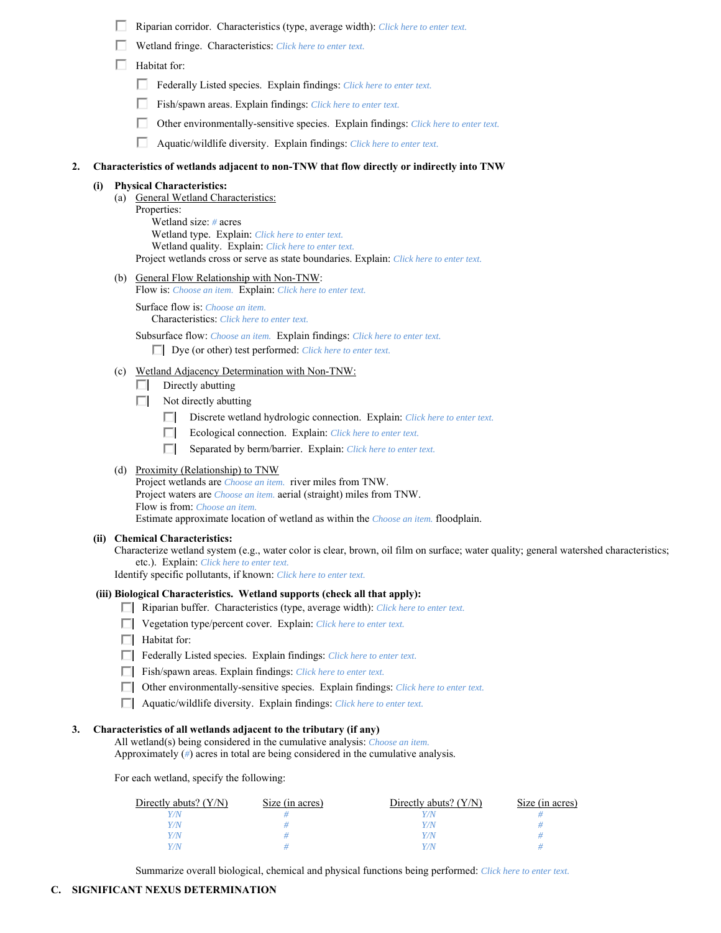- Riparian corridor. Characteristics (type, average width): *Click here to enter text.*
- Wetland fringe. Characteristics: *Click here to enter text.*
- Habitat for:
	- Federally Listed species. Explain findings: *Click here to enter text*.
	- Fish/spawn areas. Explain findings: *Click here to enter text*.
	- П. Other environmentally-sensitive species. Explain findings: *Click here to enter text.*
	- Aquatic/wildlife diversity. Explain findings: *Click here to enter text.*

### **2. Characteristics of wetlands adjacent to non-TNW that flow directly or indirectly into TNW**

### **(i) Physical Characteristics:**

(a) General Wetland Characteristics:

 Properties: Wetland size: *#* acres Wetland type. Explain: *Click here to enter text.* Wetland quality. Explain: *Click here to enter text.* Project wetlands cross or serve as state boundaries. Explain: *Click here to enter text.*

(b) General Flow Relationship with Non-TNW:

Flow is: *Choose an item.* Explain: *Click here to enter text.*

 Surface flow is: *Choose an item.* Characteristics: *Click here to enter text.*

 Subsurface flow: *Choose an item.* Explain findings: *Click here to enter text.* Dye (or other) test performed: *Click here to enter text.*

- (c) Wetland Adjacency Determination with Non-TNW:
	- $\Box$  Directly abutting
	- $\Box$  Not directly abutting
		- Discrete wetland hydrologic connection. Explain: *Click here to enter text*.
		- Ecological connection. Explain: *Click here to enter text.*
		- П. Separated by berm/barrier. Explain: *Click here to enter text.*

# (d) Proximity (Relationship) to TNW

Project wetlands are *Choose an item.* river miles from TNW. Project waters are *Choose an item.* aerial (straight) miles from TNW. Flow is from: *Choose an item.* Estimate approximate location of wetland as within the *Choose an item.* floodplain.

#### **(ii) Chemical Characteristics:**

Characterize wetland system (e.g., water color is clear, brown, oil film on surface; water quality; general watershed characteristics; etc.). Explain: *Click here to enter text.*

Identify specific pollutants, if known: *Click here to enter text.*

# **(iii) Biological Characteristics. Wetland supports (check all that apply):**

- Riparian buffer. Characteristics (type, average width): *Click here to enter text.*
- Vegetation type/percent cover. Explain: *Click here to enter text.*
- $\Box$  Habitat for:
- Federally Listed species. Explain findings: *Click here to enter text*.
- Fish/spawn areas. Explain findings: *Click here to enter text*.
- Other environmentally-sensitive species. Explain findings: *Click here to enter text.*
- Aquatic/wildlife diversity. Explain findings: *Click here to enter text.*

# **3. Characteristics of all wetlands adjacent to the tributary (if any)**

 All wetland(s) being considered in the cumulative analysis: *Choose an item.* Approximately (*#*) acres in total are being considered in the cumulative analysis.

For each wetland, specify the following:

| Directly abuts? $(Y/N)$ | Size (in acres) | Directly abuts? $(Y/N)$ | Size (in acres) |
|-------------------------|-----------------|-------------------------|-----------------|
|                         |                 |                         |                 |
|                         |                 | Y/N                     |                 |
|                         |                 | Y/N                     |                 |
|                         |                 | Y/N                     |                 |

Summarize overall biological, chemical and physical functions being performed: *Click here to enter text.*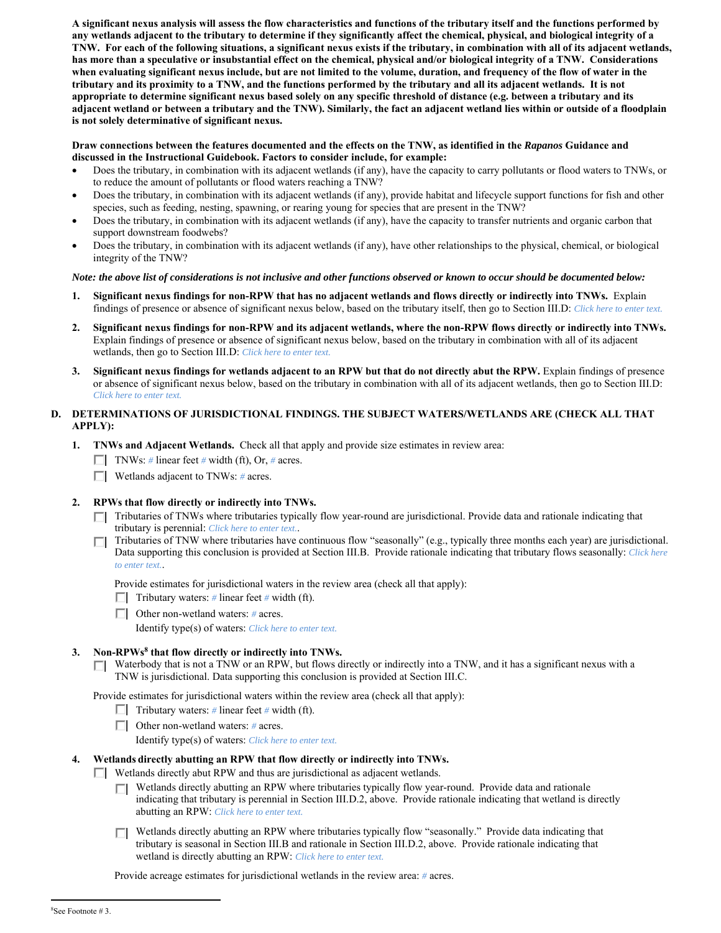**A significant nexus analysis will assess the flow characteristics and functions of the tributary itself and the functions performed by any wetlands adjacent to the tributary to determine if they significantly affect the chemical, physical, and biological integrity of a TNW. For each of the following situations, a significant nexus exists if the tributary, in combination with all of its adjacent wetlands, has more than a speculative or insubstantial effect on the chemical, physical and/or biological integrity of a TNW. Considerations when evaluating significant nexus include, but are not limited to the volume, duration, and frequency of the flow of water in the tributary and its proximity to a TNW, and the functions performed by the tributary and all its adjacent wetlands. It is not appropriate to determine significant nexus based solely on any specific threshold of distance (e.g. between a tributary and its adjacent wetland or between a tributary and the TNW). Similarly, the fact an adjacent wetland lies within or outside of a floodplain is not solely determinative of significant nexus.** 

### **Draw connections between the features documented and the effects on the TNW, as identified in the** *Rapanos* **Guidance and discussed in the Instructional Guidebook. Factors to consider include, for example:**

- Does the tributary, in combination with its adjacent wetlands (if any), have the capacity to carry pollutants or flood waters to TNWs, or to reduce the amount of pollutants or flood waters reaching a TNW?
- Does the tributary, in combination with its adjacent wetlands (if any), provide habitat and lifecycle support functions for fish and other species, such as feeding, nesting, spawning, or rearing young for species that are present in the TNW?
- Does the tributary, in combination with its adjacent wetlands (if any), have the capacity to transfer nutrients and organic carbon that support downstream foodwebs?
- Does the tributary, in combination with its adjacent wetlands (if any), have other relationships to the physical, chemical, or biological integrity of the TNW?

### *Note: the above list of considerations is not inclusive and other functions observed or known to occur should be documented below:*

- **1. Significant nexus findings for non-RPW that has no adjacent wetlands and flows directly or indirectly into TNWs.** Explain findings of presence or absence of significant nexus below, based on the tributary itself, then go to Section III.D: *Click here to enter text.*
- **2. Significant nexus findings for non-RPW and its adjacent wetlands, where the non-RPW flows directly or indirectly into TNWs.**  Explain findings of presence or absence of significant nexus below, based on the tributary in combination with all of its adjacent wetlands, then go to Section III.D: *Click here to enter text.*
- **3. Significant nexus findings for wetlands adjacent to an RPW but that do not directly abut the RPW.** Explain findings of presence or absence of significant nexus below, based on the tributary in combination with all of its adjacent wetlands, then go to Section III.D: *Click here to enter text.*

# **D. DETERMINATIONS OF JURISDICTIONAL FINDINGS. THE SUBJECT WATERS/WETLANDS ARE (CHECK ALL THAT APPLY):**

- **1. TNWs and Adjacent Wetlands.** Check all that apply and provide size estimates in review area:
	- TNWs: *#* linear feet *#* width (ft), Or, *#* acres.
	- Wetlands adjacent to TNWs: *#* acres.
- **2. RPWs that flow directly or indirectly into TNWs.** 
	- Tributaries of TNWs where tributaries typically flow year-round are jurisdictional. Provide data and rationale indicating that tributary is perennial: *Click here to enter text.*.
	- Tributaries of TNW where tributaries have continuous flow "seasonally" (e.g., typically three months each year) are jurisdictional. Data supporting this conclusion is provided at Section III.B. Provide rationale indicating that tributary flows seasonally: *Click here to enter text.*.

Provide estimates for jurisdictional waters in the review area (check all that apply):

- Tributary waters:  $\#$  linear feet  $\#$  width (ft).
- Other non-wetland waters: *#* acres.

Identify type(s) of waters: *Click here to enter text.*

# **3. Non-RPWs8 that flow directly or indirectly into TNWs.**

Waterbody that is not a TNW or an RPW, but flows directly or indirectly into a TNW, and it has a significant nexus with a TNW is jurisdictional. Data supporting this conclusion is provided at Section III.C.

Provide estimates for jurisdictional waters within the review area (check all that apply):

- $\Box$  Tributary waters: # linear feet # width (ft).
- Other non-wetland waters: *#* acres.
	- Identify type(s) of waters: *Click here to enter text.*

# **4. Wetlands directly abutting an RPW that flow directly or indirectly into TNWs.**

- $\Box$  Wetlands directly abut RPW and thus are jurisdictional as adjacent wetlands.
	- Wetlands directly abutting an RPW where tributaries typically flow year-round. Provide data and rationale indicating that tributary is perennial in Section III.D.2, above. Provide rationale indicating that wetland is directly abutting an RPW: *Click here to enter text.*
	- Wetlands directly abutting an RPW where tributaries typically flow "seasonally." Provide data indicating that tributary is seasonal in Section III.B and rationale in Section III.D.2, above. Provide rationale indicating that wetland is directly abutting an RPW: *Click here to enter text.*

Provide acreage estimates for jurisdictional wetlands in the review area: *#* acres.

 $\overline{a}$ 

<sup>8</sup> See Footnote # 3.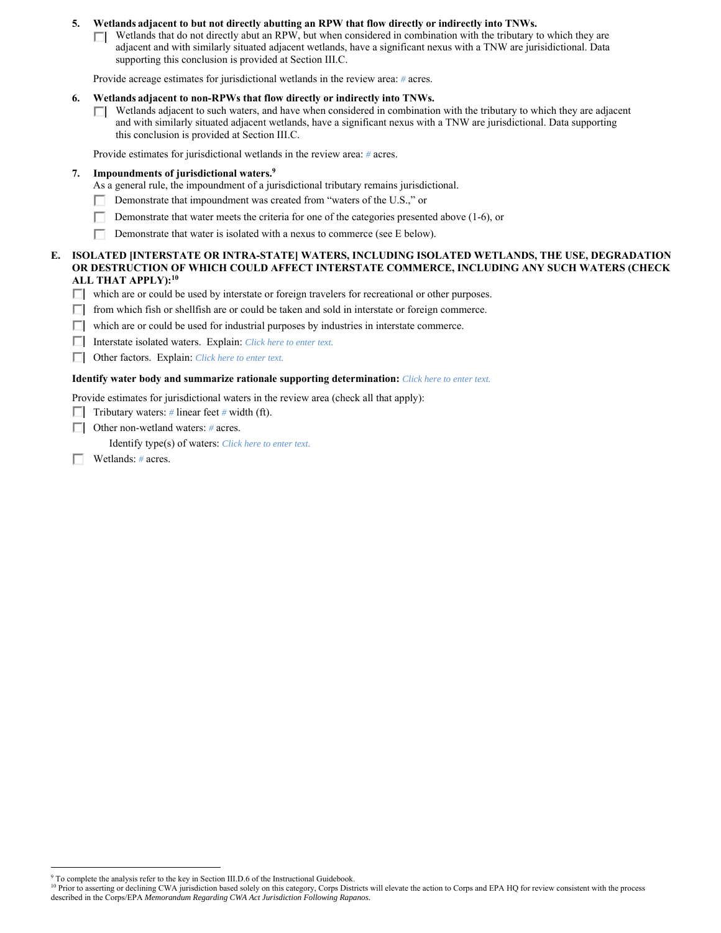### **5. Wetlands adjacent to but not directly abutting an RPW that flow directly or indirectly into TNWs.**

 $\Box$  Wetlands that do not directly abut an RPW, but when considered in combination with the tributary to which they are adjacent and with similarly situated adjacent wetlands, have a significant nexus with a TNW are jurisidictional. Data supporting this conclusion is provided at Section III.C.

Provide acreage estimates for jurisdictional wetlands in the review area: *#* acres.

- **6. Wetlands adjacent to non-RPWs that flow directly or indirectly into TNWs.** 
	- $\Box$  Wetlands adjacent to such waters, and have when considered in combination with the tributary to which they are adjacent and with similarly situated adjacent wetlands, have a significant nexus with a TNW are jurisdictional. Data supporting this conclusion is provided at Section III.C.

Provide estimates for jurisdictional wetlands in the review area: *#* acres.

#### **7. Impoundments of jurisdictional waters.9**

- As a general rule, the impoundment of a jurisdictional tributary remains jurisdictional.
- Demonstrate that impoundment was created from "waters of the U.S.," or Г.
- П. Demonstrate that water meets the criteria for one of the categories presented above (1-6), or
- П Demonstrate that water is isolated with a nexus to commerce (see E below).

#### **E. ISOLATED [INTERSTATE OR INTRA-STATE] WATERS, INCLUDING ISOLATED WETLANDS, THE USE, DEGRADATION OR DESTRUCTION OF WHICH COULD AFFECT INTERSTATE COMMERCE, INCLUDING ANY SUCH WATERS (CHECK ALL THAT APPLY):10**

- $\Box$  which are or could be used by interstate or foreign travelers for recreational or other purposes.
- $\Box$  from which fish or shellfish are or could be taken and sold in interstate or foreign commerce.
- $\Box$  which are or could be used for industrial purposes by industries in interstate commerce.
- Interstate isolated waters.Explain: *Click here to enter text.*
- Other factors.Explain: *Click here to enter text.*

#### **Identify water body and summarize rationale supporting determination:** *Click here to enter text.*

Provide estimates for jurisdictional waters in the review area (check all that apply):

- **Tributary waters:** # linear feet # width (ft).
- Other non-wetland waters: *#* acres.
	- Identify type(s) of waters: *Click here to enter text.*
- Wetlands: *#* acres. П.

 $\overline{a}$ 

<sup>&</sup>lt;sup>9</sup> To complete the analysis refer to the key in Section III.D.6 of the Instructional Guidebook.

<sup>&</sup>lt;sup>10</sup> Prior to asserting or declining CWA jurisdiction based solely on this category, Corps Districts will elevate the action to Corps and EPA HQ for review consistent with the process described in the Corps/EPA *Memorandum Regarding CWA Act Jurisdiction Following Rapanos.*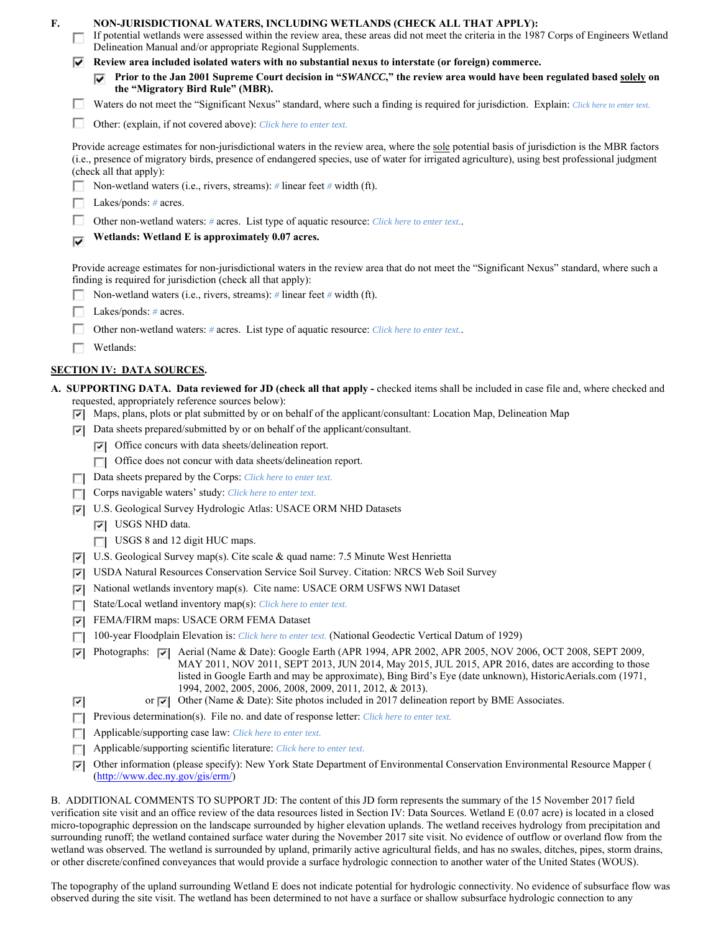| F. | п      | NON-JURISDICTIONAL WATERS, INCLUDING WETLANDS (CHECK ALL THAT APPLY):<br>If potential wetlands were assessed within the review area, these areas did not meet the criteria in the 1987 Corps of Engineers Wetland<br>Delineation Manual and/or appropriate Regional Supplements.                                                                                                                                                                                                                                                     |
|----|--------|--------------------------------------------------------------------------------------------------------------------------------------------------------------------------------------------------------------------------------------------------------------------------------------------------------------------------------------------------------------------------------------------------------------------------------------------------------------------------------------------------------------------------------------|
|    | է      | Review area included isolated waters with no substantial nexus to interstate (or foreign) commerce.                                                                                                                                                                                                                                                                                                                                                                                                                                  |
|    |        | Prior to the Jan 2001 Supreme Court decision in "SWANCC," the review area would have been regulated based solely on<br>the "Migratory Bird Rule" (MBR).                                                                                                                                                                                                                                                                                                                                                                              |
|    |        | Waters do not meet the "Significant Nexus" standard, where such a finding is required for jurisdiction. Explain: Click here to enter text.                                                                                                                                                                                                                                                                                                                                                                                           |
|    |        | Other: (explain, if not covered above): Click here to enter text.                                                                                                                                                                                                                                                                                                                                                                                                                                                                    |
|    |        | Provide acreage estimates for non-jurisdictional waters in the review area, where the sole potential basis of jurisdiction is the MBR factors<br>(i.e., presence of migratory birds, presence of endangered species, use of water for irrigated agriculture), using best professional judgment<br>(check all that apply):                                                                                                                                                                                                            |
|    |        | Non-wetland waters (i.e., rivers, streams): $\#$ linear feet $\#$ width (ft).                                                                                                                                                                                                                                                                                                                                                                                                                                                        |
|    |        | Lakes/ponds: $# \, \text{acres.}$                                                                                                                                                                                                                                                                                                                                                                                                                                                                                                    |
|    |        | Other non-wetland waters: # acres. List type of aquatic resource: Click here to enter text                                                                                                                                                                                                                                                                                                                                                                                                                                           |
|    | ⊽      | Wetlands: Wetland E is approximately 0.07 acres.                                                                                                                                                                                                                                                                                                                                                                                                                                                                                     |
|    |        | Provide acreage estimates for non-jurisdictional waters in the review area that do not meet the "Significant Nexus" standard, where such a<br>finding is required for jurisdiction (check all that apply):<br>Non-wetland waters (i.e., rivers, streams): $\#$ linear feet $\#$ width (ft).                                                                                                                                                                                                                                          |
|    |        | Lakes/ponds: # acres.                                                                                                                                                                                                                                                                                                                                                                                                                                                                                                                |
|    |        | Other non-wetland waters: # acres. List type of aquatic resource: Click here to enter text.                                                                                                                                                                                                                                                                                                                                                                                                                                          |
|    |        | Wetlands:                                                                                                                                                                                                                                                                                                                                                                                                                                                                                                                            |
|    |        | <b>SECTION IV: DATA SOURCES.</b>                                                                                                                                                                                                                                                                                                                                                                                                                                                                                                     |
|    |        |                                                                                                                                                                                                                                                                                                                                                                                                                                                                                                                                      |
|    | ल।     | A. SUPPORTING DATA. Data reviewed for JD (check all that apply - checked items shall be included in case file and, where checked and<br>requested, appropriately reference sources below):<br>Maps, plans, plots or plat submitted by or on behalf of the applicant/consultant: Location Map, Delineation Map<br>Data sheets prepared/submitted by or on behalf of the applicant/consultant.                                                                                                                                         |
|    | ⊡      | Office concurs with data sheets/delineation report.                                                                                                                                                                                                                                                                                                                                                                                                                                                                                  |
|    |        | ⊡<br>Office does not concur with data sheets/delineation report.<br>п                                                                                                                                                                                                                                                                                                                                                                                                                                                                |
|    |        | Data sheets prepared by the Corps: Click here to enter text.                                                                                                                                                                                                                                                                                                                                                                                                                                                                         |
|    | П      | Corps navigable waters' study: Click here to enter text.                                                                                                                                                                                                                                                                                                                                                                                                                                                                             |
|    | ⊡      | U.S. Geological Survey Hydrologic Atlas: USACE ORM NHD Datasets                                                                                                                                                                                                                                                                                                                                                                                                                                                                      |
|    |        | USGS NHD data.<br>罓                                                                                                                                                                                                                                                                                                                                                                                                                                                                                                                  |
|    |        | USGS 8 and 12 digit HUC maps.                                                                                                                                                                                                                                                                                                                                                                                                                                                                                                        |
|    | ⊽      | U.S. Geological Survey map(s). Cite scale & quad name: 7.5 Minute West Henrietta                                                                                                                                                                                                                                                                                                                                                                                                                                                     |
|    | ⊽      | USDA Natural Resources Conservation Service Soil Survey. Citation: NRCS Web Soil Survey                                                                                                                                                                                                                                                                                                                                                                                                                                              |
|    | 罓      | National wetlands inventory map(s). Cite name: USACE ORM USFWS NWI Dataset                                                                                                                                                                                                                                                                                                                                                                                                                                                           |
|    | п      | State/Local wetland inventory map(s): Click here to enter text.                                                                                                                                                                                                                                                                                                                                                                                                                                                                      |
|    | ⊽      | FEMA/FIRM maps: USACE ORM FEMA Dataset                                                                                                                                                                                                                                                                                                                                                                                                                                                                                               |
|    | г      | 100-year Floodplain Elevation is: Click here to enter text. (National Geodectic Vertical Datum of 1929)                                                                                                                                                                                                                                                                                                                                                                                                                              |
|    | ⊽<br>☑ | Aerial (Name & Date): Google Earth (APR 1994, APR 2002, APR 2005, NOV 2006, OCT 2008, SEPT 2009,<br>Photographs: $ \nabla $<br>MAY 2011, NOV 2011, SEPT 2013, JUN 2014, May 2015, JUL 2015, APR 2016, dates are according to those<br>listed in Google Earth and may be approximate), Bing Bird's Eye (date unknown), HistoricAerials.com (1971,<br>1994, 2002, 2005, 2006, 2008, 2009, 2011, 2012, & 2013).<br>or $\overline{ \mathbf{v} }$ Other (Name & Date): Site photos included in 2017 delineation report by BME Associates. |
|    | п      | Previous determination(s). File no. and date of response letter: Click here to enter text.                                                                                                                                                                                                                                                                                                                                                                                                                                           |
|    |        | Applicable/supporting case law: Click here to enter text.                                                                                                                                                                                                                                                                                                                                                                                                                                                                            |
|    | п<br>п | Applicable/supporting scientific literature: Click here to enter text.                                                                                                                                                                                                                                                                                                                                                                                                                                                               |
|    | ⊡      | Other information (please specify): New York State Department of Environmental Conservation Environmental Resource Mapper (                                                                                                                                                                                                                                                                                                                                                                                                          |
|    |        | (http://www.dec.ny.gov/gis/erm)                                                                                                                                                                                                                                                                                                                                                                                                                                                                                                      |
|    |        | B. ADDITIONAL COMMENTS TO SUPPORT JD: The content of this JD form represents the summary of the 15 November 2017 field<br>verification site visit and an office review of the data resources listed in Section IV: Data Sources. Wetland E (0.07 acre) is located in a closed<br>micro-topographic depression on the landscape surrounded by higher elevation uplands. The wetland receives hydrology from precipitation and                                                                                                         |

surrounding runoff; the wetland contained surface water during the November 2017 site visit. No evidence of outflow or overland flow from the wetland was observed. The wetland is surrounded by upland, primarily active agricultural fields, and has no swales, ditches, pipes, storm drains, or other discrete/confined conveyances that would provide a surface hydrologic connection to another water of the United States (WOUS).

The topography of the upland surrounding Wetland E does not indicate potential for hydrologic connectivity. No evidence of subsurface flow was observed during the site visit. The wetland has been determined to not have a surface or shallow subsurface hydrologic connection to any